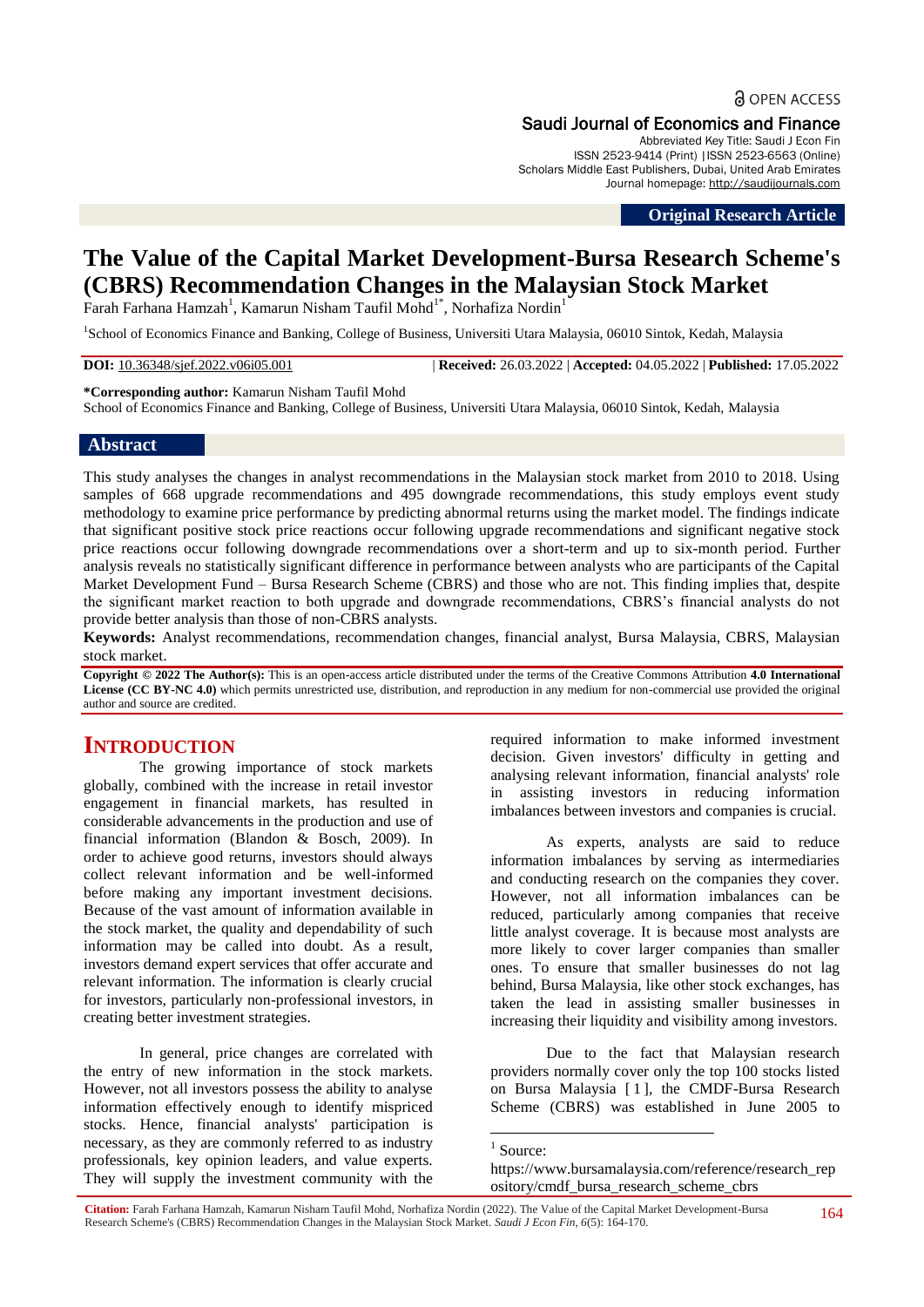**a** OPEN ACCESS

# Saudi Journal of Economics and Finance

Abbreviated Key Title: Saudi J Econ Fin ISSN 2523-9414 (Print) |ISSN 2523-6563 (Online) Scholars Middle East Publishers, Dubai, United Arab Emirates Journal homepage: [http://saudijournals.com](http://saudijournals.com/sjef/)

**Original Research Article**

# **The Value of the Capital Market Development-Bursa Research Scheme's (CBRS) Recommendation Changes in the Malaysian Stock Market**

Farah Farhana Hamzah $^1$ , Kamarun Nisham Taufil Mohd $^{1^*}$ , Norhafiza Nordin $^1$ 

<sup>1</sup>School of Economics Finance and Banking, College of Business, Universiti Utara Malaysia, 06010 Sintok, Kedah, Malaysia

**DOI:** 10.36348/sjef.2022.v06i05.001 | **Received:** 26.03.2022 | **Accepted:** 04.05.2022 | **Published:** 17.05.2022

**\*Corresponding author:** Kamarun Nisham Taufil Mohd

School of Economics Finance and Banking, College of Business, Universiti Utara Malaysia, 06010 Sintok, Kedah, Malaysia

### **Abstract**

This study analyses the changes in analyst recommendations in the Malaysian stock market from 2010 to 2018. Using samples of 668 upgrade recommendations and 495 downgrade recommendations, this study employs event study methodology to examine price performance by predicting abnormal returns using the market model. The findings indicate that significant positive stock price reactions occur following upgrade recommendations and significant negative stock price reactions occur following downgrade recommendations over a short-term and up to six-month period. Further analysis reveals no statistically significant difference in performance between analysts who are participants of the Capital Market Development Fund – Bursa Research Scheme (CBRS) and those who are not. This finding implies that, despite the significant market reaction to both upgrade and downgrade recommendations, CBRS's financial analysts do not provide better analysis than those of non-CBRS analysts.

**Keywords:** Analyst recommendations, recommendation changes, financial analyst, Bursa Malaysia, CBRS, Malaysian stock market.

**Copyright © 2022 The Author(s):** This is an open-access article distributed under the terms of the Creative Commons Attribution **4.0 International License (CC BY-NC 4.0)** which permits unrestricted use, distribution, and reproduction in any medium for non-commercial use provided the original author and source are credited.

# **INTRODUCTION**

The growing importance of stock markets globally, combined with the increase in retail investor engagement in financial markets, has resulted in considerable advancements in the production and use of financial information (Blandon & Bosch, 2009). In order to achieve good returns, investors should always collect relevant information and be well-informed before making any important investment decisions. Because of the vast amount of information available in the stock market, the quality and dependability of such information may be called into doubt. As a result, investors demand expert services that offer accurate and relevant information. The information is clearly crucial for investors, particularly non-professional investors, in creating better investment strategies.

In general, price changes are correlated with the entry of new information in the stock markets. However, not all investors possess the ability to analyse information effectively enough to identify mispriced stocks. Hence, financial analysts' participation is necessary, as they are commonly referred to as industry professionals, key opinion leaders, and value experts. They will supply the investment community with the

required information to make informed investment decision. Given investors' difficulty in getting and analysing relevant information, financial analysts' role in assisting investors in reducing information imbalances between investors and companies is crucial.

As experts, analysts are said to reduce information imbalances by serving as intermediaries and conducting research on the companies they cover. However, not all information imbalances can be reduced, particularly among companies that receive little analyst coverage. It is because most analysts are more likely to cover larger companies than smaller ones. To ensure that smaller businesses do not lag behind, Bursa Malaysia, like other stock exchanges, has taken the lead in assisting smaller businesses in increasing their liquidity and visibility among investors.

Due to the fact that Malaysian research providers normally cover only the top 100 stocks listed on Bursa Malaysia [ 1 ], the CMDF-Bursa Research Scheme (CBRS) was established in June 2005 to

<sup>1</sup> Source:

 $\overline{\phantom{a}}$ 

**Citation:** Farah Farhana Hamzah, Kamarun Nisham Taufil Mohd, Norhafiza Nordin (2022). The Value of the Capital Market Development-Bursa Research Scheme's (CBRS) Recommendation Changes in the Malaysian Stock Market. *Saudi J Econ Fin, 6*(5): 164-170.

https://www.bursamalaysia.com/reference/research\_rep ository/cmdf\_bursa\_research\_scheme\_cbrs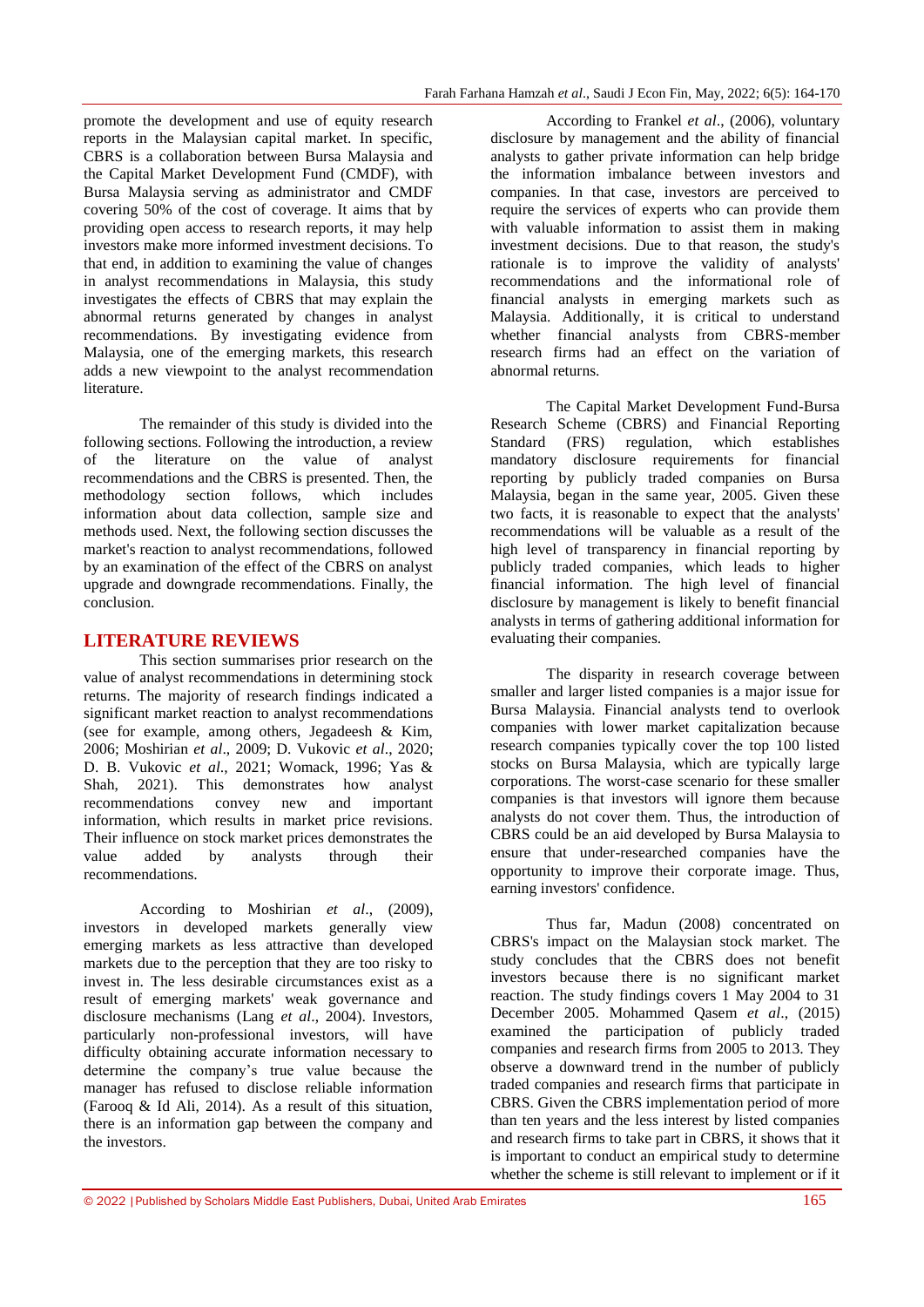promote the development and use of equity research reports in the Malaysian capital market. In specific, CBRS is a collaboration between Bursa Malaysia and the Capital Market Development Fund (CMDF), with Bursa Malaysia serving as administrator and CMDF covering 50% of the cost of coverage. It aims that by providing open access to research reports, it may help investors make more informed investment decisions. To that end, in addition to examining the value of changes in analyst recommendations in Malaysia, this study investigates the effects of CBRS that may explain the abnormal returns generated by changes in analyst recommendations. By investigating evidence from Malaysia, one of the emerging markets, this research adds a new viewpoint to the analyst recommendation literature.

The remainder of this study is divided into the following sections. Following the introduction, a review of the literature on the value of analyst recommendations and the CBRS is presented. Then, the methodology section follows, which includes information about data collection, sample size and methods used. Next, the following section discusses the market's reaction to analyst recommendations, followed by an examination of the effect of the CBRS on analyst upgrade and downgrade recommendations. Finally, the conclusion.

# **LITERATURE REVIEWS**

This section summarises prior research on the value of analyst recommendations in determining stock returns. The majority of research findings indicated a significant market reaction to analyst recommendations (see for example, among others, Jegadeesh & Kim, 2006; Moshirian *et al*., 2009; D. Vukovic *et al*., 2020; D. B. Vukovic *et al*., 2021; Womack, 1996; Yas & Shah, 2021). This demonstrates how analyst recommendations convey new and important information, which results in market price revisions. Their influence on stock market prices demonstrates the value added by analysts through their recommendations.

According to Moshirian *et al*., (2009), investors in developed markets generally view emerging markets as less attractive than developed markets due to the perception that they are too risky to invest in. The less desirable circumstances exist as a result of emerging markets' weak governance and disclosure mechanisms (Lang *et al*., 2004). Investors, particularly non-professional investors, will have difficulty obtaining accurate information necessary to determine the company's true value because the manager has refused to disclose reliable information (Farooq & Id Ali, 2014). As a result of this situation, there is an information gap between the company and the investors.

According to Frankel *et al*., (2006), voluntary disclosure by management and the ability of financial analysts to gather private information can help bridge the information imbalance between investors and companies. In that case, investors are perceived to require the services of experts who can provide them with valuable information to assist them in making investment decisions. Due to that reason, the study's rationale is to improve the validity of analysts' recommendations and the informational role of financial analysts in emerging markets such as Malaysia. Additionally, it is critical to understand whether financial analysts from CBRS-member research firms had an effect on the variation of abnormal returns.

The Capital Market Development Fund-Bursa Research Scheme (CBRS) and Financial Reporting Standard (FRS) regulation, which establishes mandatory disclosure requirements for financial reporting by publicly traded companies on Bursa Malaysia, began in the same year, 2005. Given these two facts, it is reasonable to expect that the analysts' recommendations will be valuable as a result of the high level of transparency in financial reporting by publicly traded companies, which leads to higher financial information. The high level of financial disclosure by management is likely to benefit financial analysts in terms of gathering additional information for evaluating their companies.

The disparity in research coverage between smaller and larger listed companies is a major issue for Bursa Malaysia. Financial analysts tend to overlook companies with lower market capitalization because research companies typically cover the top 100 listed stocks on Bursa Malaysia, which are typically large corporations. The worst-case scenario for these smaller companies is that investors will ignore them because analysts do not cover them. Thus, the introduction of CBRS could be an aid developed by Bursa Malaysia to ensure that under-researched companies have the opportunity to improve their corporate image. Thus, earning investors' confidence.

Thus far, Madun (2008) concentrated on CBRS's impact on the Malaysian stock market. The study concludes that the CBRS does not benefit investors because there is no significant market reaction. The study findings covers 1 May 2004 to 31 December 2005. Mohammed Qasem *et al*., (2015) examined the participation of publicly traded companies and research firms from 2005 to 2013. They observe a downward trend in the number of publicly traded companies and research firms that participate in CBRS. Given the CBRS implementation period of more than ten years and the less interest by listed companies and research firms to take part in CBRS, it shows that it is important to conduct an empirical study to determine whether the scheme is still relevant to implement or if it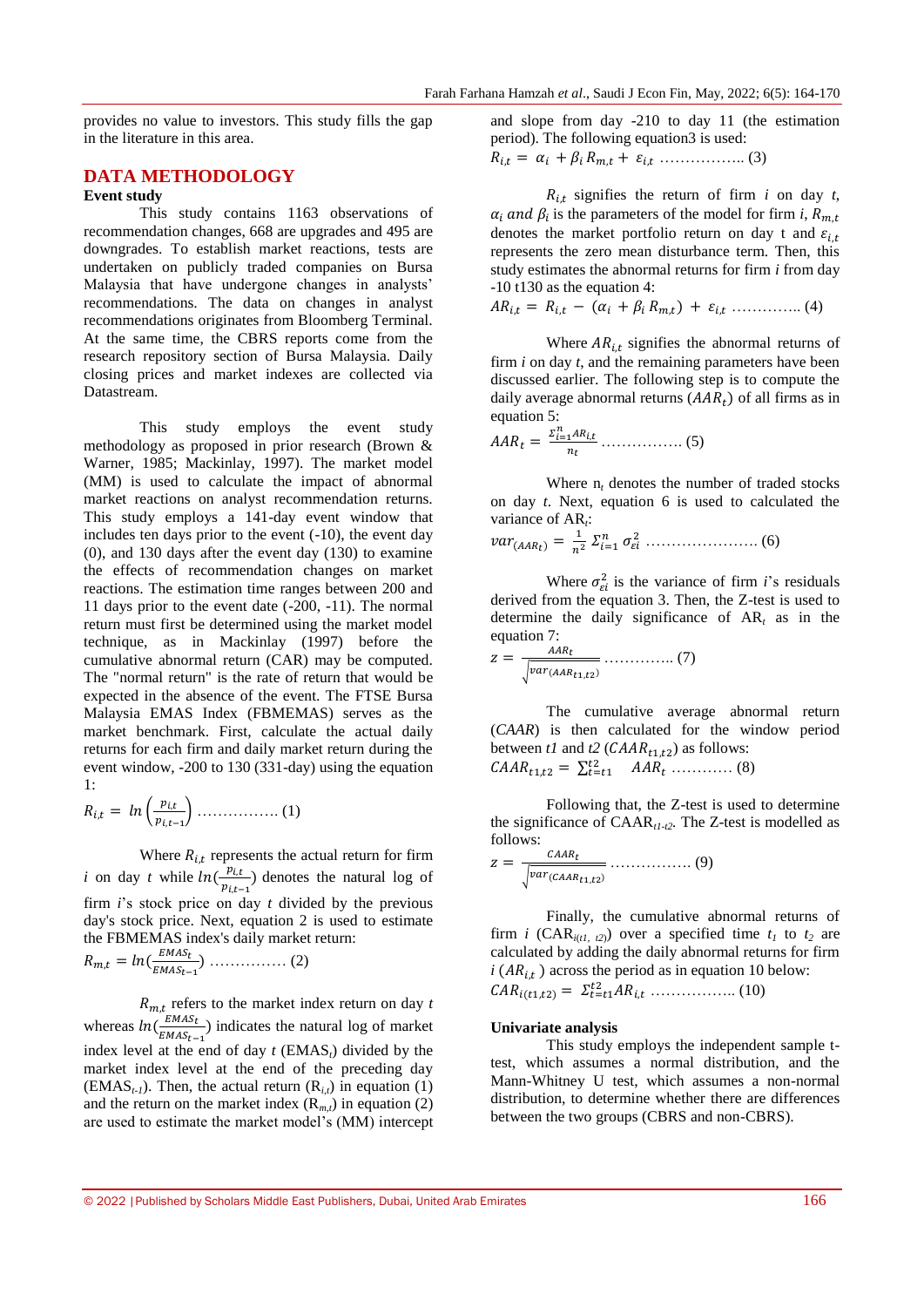provides no value to investors. This study fills the gap in the literature in this area.

# **DATA METHODOLOGY**

# **Event study**

This study contains 1163 observations of recommendation changes, 668 are upgrades and 495 are downgrades. To establish market reactions, tests are undertaken on publicly traded companies on Bursa Malaysia that have undergone changes in analysts' recommendations. The data on changes in analyst recommendations originates from Bloomberg Terminal. At the same time, the CBRS reports come from the research repository section of Bursa Malaysia. Daily closing prices and market indexes are collected via Datastream.

This study employs the event study methodology as proposed in prior research (Brown & Warner, 1985; Mackinlay, 1997). The market model (MM) is used to calculate the impact of abnormal market reactions on analyst recommendation returns. This study employs a 141-day event window that includes ten days prior to the event (-10), the event day (0), and 130 days after the event day (130) to examine the effects of recommendation changes on market reactions. The estimation time ranges between 200 and 11 days prior to the event date (-200, -11). The normal return must first be determined using the market model technique, as in Mackinlay (1997) before the cumulative abnormal return (CAR) may be computed. The "normal return" is the rate of return that would be expected in the absence of the event. The FTSE Bursa Malaysia EMAS Index (FBMEMAS) serves as the market benchmark. First, calculate the actual daily returns for each firm and daily market return during the event window, -200 to 130 (331-day) using the equation 1:

$$
R_{i,t} = ln\left(\frac{p_{i,t}}{p_{i,t-1}}\right) \dots \dots \dots \dots \dots \dots (1)
$$

Where  $R_{i,t}$  represents the actual return for firm *i* on day *t* while  $ln(\frac{p}{q})$  $\frac{p_{i,t}}{p_{i,t-1}}$  denotes the natural log of firm *i*'s stock price on day *t* divided by the previous day's stock price. Next, equation 2 is used to estimate the FBMEMAS index's daily market return:

 …………… (2)

 $R_{m,t}$  refers to the market index return on day  $t$ whereas  $ln(\frac{E}{m})$  $\frac{EMAS_t}{EMAS_{t-1}}$ ) indicates the natural log of market index level at the end of day  $t$  (EMAS<sub>t</sub>) divided by the market index level at the end of the preceding day (EMAS<sub>*t-1*</sub>). Then, the actual return  $(R_{i,t})$  in equation (1) and the return on the market index  $(R_{m,t})$  in equation (2) are used to estimate the market model's (MM) intercept

and slope from day -210 to day 11 (the estimation period). The following equation3 is used:

…………….. (3)

 $R_{i,t}$  signifies the return of firm *i* on day *t*,  $\alpha_i$  and  $\beta_i$  is the parameters of the model for firm *i*, denotes the market portfolio return on day t and  $\varepsilon_{i,t}$ represents the zero mean disturbance term. Then, this study estimates the abnormal returns for firm *i* from day -10 t130 as the equation 4:

$$
AR_{i,t} = R_{i,t} - (\alpha_i + \beta_i R_{m,t}) + \varepsilon_{i,t} \dots \dots \dots \dots (4)
$$

Where  $AR_{i,t}$  signifies the abnormal returns of firm *i* on day *t*, and the remaining parameters have been discussed earlier. The following step is to compute the daily average abnormal returns  $(AAR_t)$  of all firms as in equation 5:

$$
AAR_t = \frac{\Sigma_{i=1}^n AR_{i,t}}{n_t} \dots \dots \dots \dots \dots \tag{5}
$$

Where  $n_t$  denotes the number of traded stocks on day *t*. Next, equation 6 is used to calculated the variance of AR<sub>t</sub>:

 $var_{(AAR_t)} = \frac{1}{n!}$  $\boldsymbol{n}$ …………………. (6)

Where  $\sigma_{\epsilon i}^2$  is the variance of firm *i*'s residuals derived from the equation 3. Then, the Z-test is used to determine the daily significance of AR*<sup>t</sup>* as in the equation 7:

$$
z = \frac{AAR_t}{\sqrt{var_{(AAR_{t1,t2})}}}\dots\dots\dots\dots\dots\dots(7)
$$

The cumulative average abnormal return (*CAAR*) is then calculated for the window period between  $t1$  and  $t2$  ( $CAR_{t1,t2}$ ) as follows: ∑ ………… (8)

Following that, the Z-test is used to determine the significance of CAAR*t1-t2.* The Z-test is modelled as follows:

 √ ……………. (9)

Finally, the cumulative abnormal returns of firm *i* (CAR<sub>*i*(*t1, t2*)) over a specified time  $t_1$  to  $t_2$  are</sub> calculated by adding the daily abnormal returns for firm  $i (AR_{i,t})$  across the period as in equation 10 below: …………….. (10)

#### **Univariate analysis**

This study employs the independent sample ttest, which assumes a normal distribution, and the Mann-Whitney U test, which assumes a non-normal distribution, to determine whether there are differences between the two groups (CBRS and non-CBRS).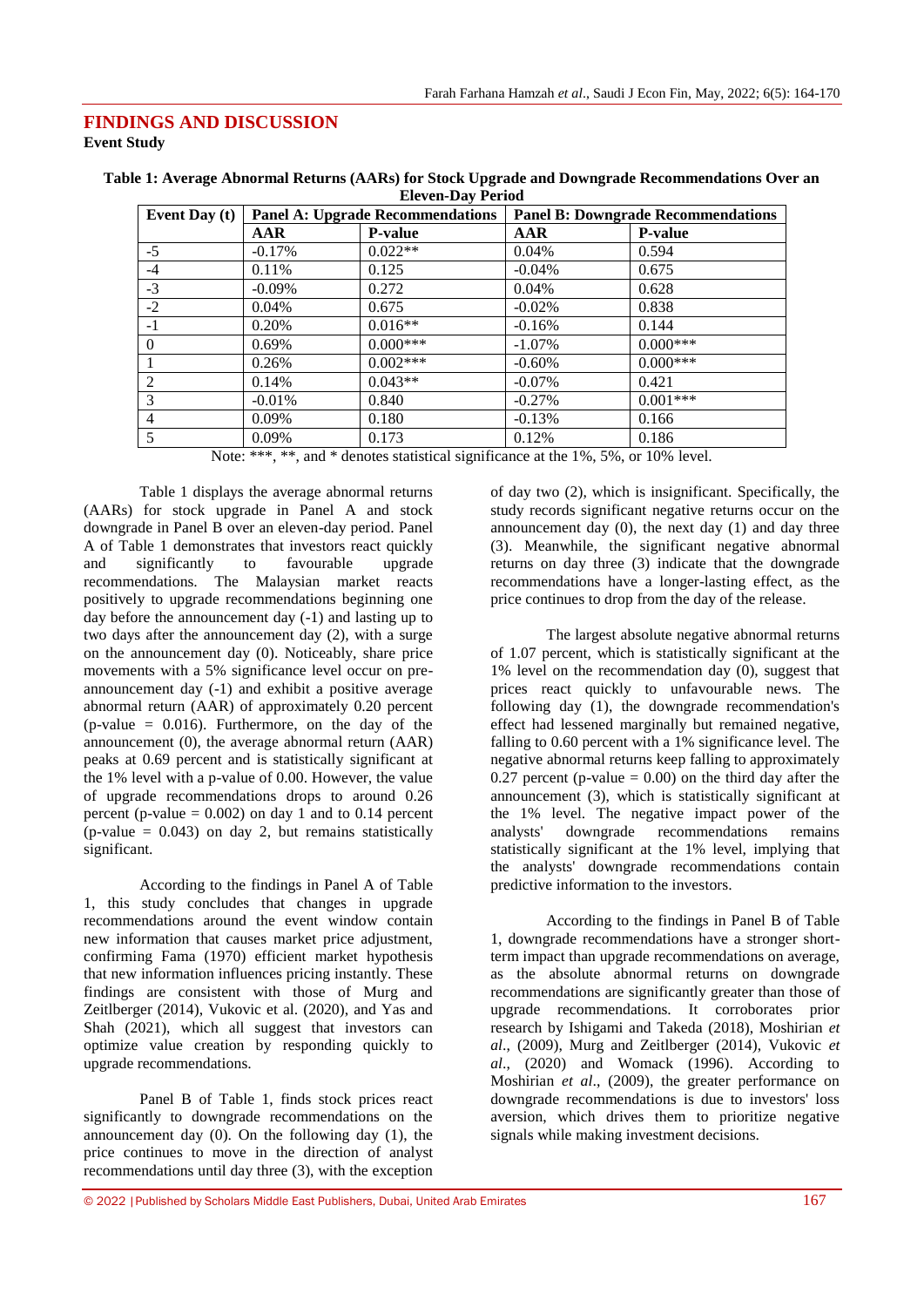### **FINDINGS AND DISCUSSION Event Study**

| Event Day (t) | <b>Panel A: Upgrade Recommendations</b> |                | <b>Panel B: Downgrade Recommendations</b> |                |  |
|---------------|-----------------------------------------|----------------|-------------------------------------------|----------------|--|
|               | AAR                                     | <b>P-value</b> | AAR                                       | <b>P-value</b> |  |
| $-5$          | $-0.17\%$                               | $0.022**$      | 0.04%                                     | 0.594          |  |
| -4            | 0.11%                                   | 0.125          | $-0.04\%$                                 | 0.675          |  |
| $-3$          | $-0.09\%$                               | 0.272          | 0.04%                                     | 0.628          |  |
| $-2$          | $0.04\%$                                | 0.675          | $-0.02\%$                                 | 0.838          |  |
| $-1$          | 0.20%                                   | $0.016**$      | $-0.16%$                                  | 0.144          |  |
| $\Omega$      | 0.69%                                   | $0.000***$     | $-1.07\%$                                 | $0.000***$     |  |
|               | 0.26%                                   | $0.002***$     | $-0.60\%$                                 | $0.000***$     |  |
| 2             | 0.14%                                   | $0.043**$      | $-0.07\%$                                 | 0.421          |  |
| 3             | $-0.01%$                                | 0.840          | $-0.27%$                                  | $0.001***$     |  |
| 4             | 0.09%                                   | 0.180          | $-0.13%$                                  | 0.166          |  |
| 5             | 0.09%                                   | 0.173          | 0.12%                                     | 0.186          |  |

| Table 1: Average Abnormal Returns (AARs) for Stock Upgrade and Downgrade Recommendations Over an |
|--------------------------------------------------------------------------------------------------|
| <b>Eleven-Day Period</b>                                                                         |

Note: \*\*\*, \*\*, and \* denotes statistical significance at the 1%, 5%, or 10% level.

Table 1 displays the average abnormal returns (AARs) for stock upgrade in Panel A and stock downgrade in Panel B over an eleven-day period. Panel A of Table 1 demonstrates that investors react quickly and significantly to favourable upgrade recommendations. The Malaysian market reacts positively to upgrade recommendations beginning one day before the announcement day (-1) and lasting up to two days after the announcement day (2), with a surge on the announcement day (0). Noticeably, share price movements with a 5% significance level occur on preannouncement day (-1) and exhibit a positive average abnormal return (AAR) of approximately 0.20 percent  $(p-value = 0.016)$ . Furthermore, on the day of the announcement (0), the average abnormal return (AAR) peaks at 0.69 percent and is statistically significant at the 1% level with a p-value of 0.00. However, the value of upgrade recommendations drops to around 0.26 percent (p-value  $= 0.002$ ) on day 1 and to 0.14 percent  $(p-value = 0.043)$  on day 2, but remains statistically significant.

According to the findings in Panel A of Table 1, this study concludes that changes in upgrade recommendations around the event window contain new information that causes market price adjustment, confirming Fama (1970) efficient market hypothesis that new information influences pricing instantly. These findings are consistent with those of Murg and Zeitlberger (2014), Vukovic et al. (2020), and Yas and Shah (2021), which all suggest that investors can optimize value creation by responding quickly to upgrade recommendations.

Panel B of Table 1, finds stock prices react significantly to downgrade recommendations on the announcement day (0). On the following day (1), the price continues to move in the direction of analyst recommendations until day three (3), with the exception

of day two (2), which is insignificant. Specifically, the study records significant negative returns occur on the announcement day  $(0)$ , the next day  $(1)$  and day three (3). Meanwhile, the significant negative abnormal returns on day three (3) indicate that the downgrade recommendations have a longer-lasting effect, as the price continues to drop from the day of the release.

The largest absolute negative abnormal returns of 1.07 percent, which is statistically significant at the 1% level on the recommendation day  $(0)$ , suggest that prices react quickly to unfavourable news. The following day (1), the downgrade recommendation's effect had lessened marginally but remained negative, falling to 0.60 percent with a 1% significance level. The negative abnormal returns keep falling to approximately  $0.27$  percent (p-value =  $0.00$ ) on the third day after the announcement (3), which is statistically significant at the 1% level. The negative impact power of the analysts' downgrade recommendations remains statistically significant at the 1% level, implying that the analysts' downgrade recommendations contain predictive information to the investors.

According to the findings in Panel B of Table 1, downgrade recommendations have a stronger shortterm impact than upgrade recommendations on average, as the absolute abnormal returns on downgrade recommendations are significantly greater than those of upgrade recommendations. It corroborates prior research by Ishigami and Takeda (2018), Moshirian *et al*., (2009), Murg and Zeitlberger (2014), Vukovic *et al*., (2020) and Womack (1996). According to Moshirian *et al*., (2009), the greater performance on downgrade recommendations is due to investors' loss aversion, which drives them to prioritize negative signals while making investment decisions.

© 2022 |Published by Scholars Middle East Publishers, Dubai, United Arab Emirates 167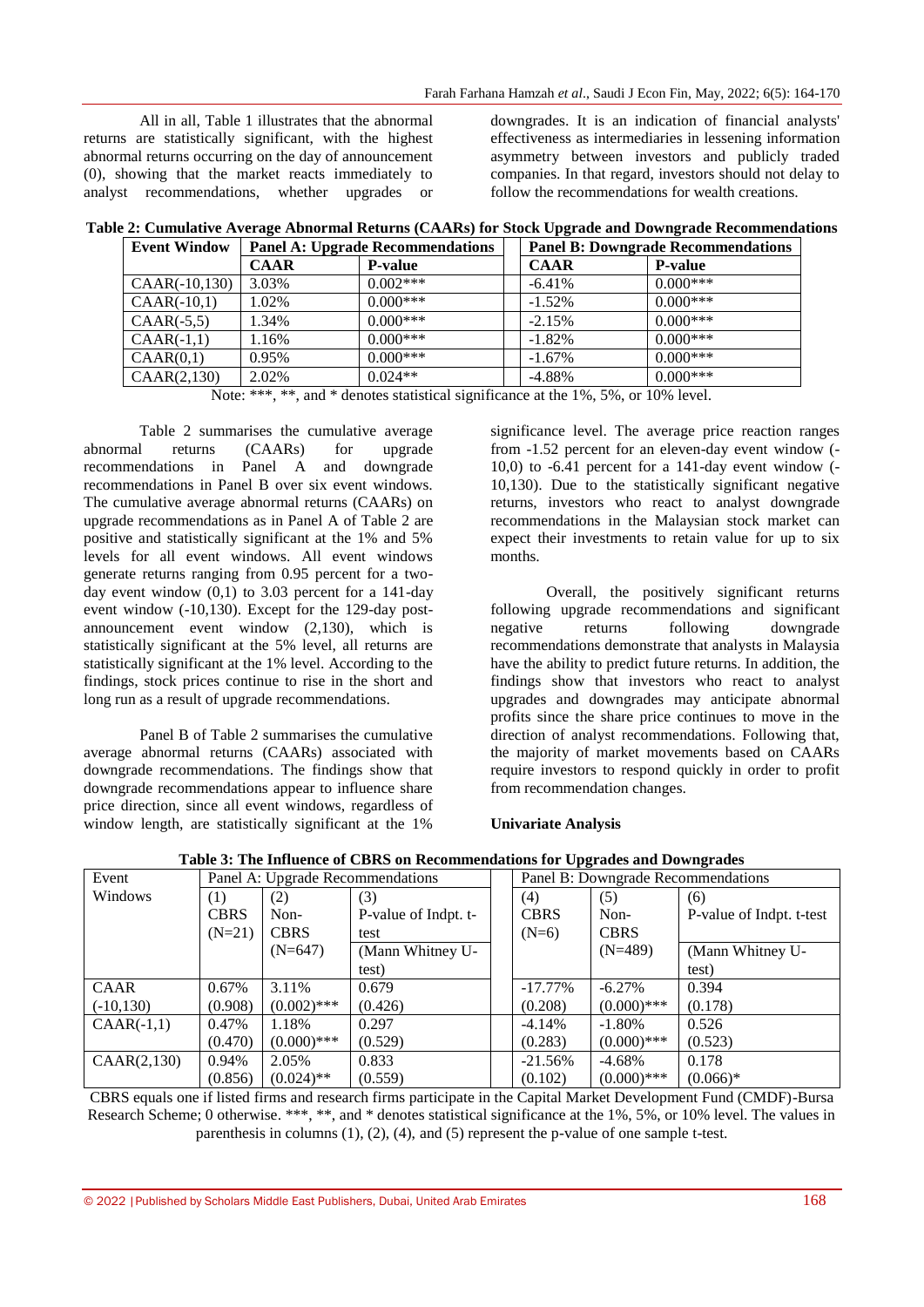All in all, Table 1 illustrates that the abnormal returns are statistically significant, with the highest abnormal returns occurring on the day of announcement (0), showing that the market reacts immediately to analyst recommendations, whether upgrades or

downgrades. It is an indication of financial analysts' effectiveness as intermediaries in lessening information asymmetry between investors and publicly traded companies. In that regard, investors should not delay to follow the recommendations for wealth creations.

|  |                                                                                                   | Table 2: Cumulative Average Abnormal Returns (CAARs) for Stock Upgrade and Downgrade Recommendations |  |
|--|---------------------------------------------------------------------------------------------------|------------------------------------------------------------------------------------------------------|--|
|  | $\mathbf{F}_{\mathbf{V}}$ Fyont Window $\mathbf{F}$ Panel A $\mathbf{F}$ Increade Recommendations | $\blacksquare$ Panel R: Downgrade Recommendations                                                    |  |

| <b>Event Window</b> | <b>Panel A: Upgrade Recommendations</b> |                |             | <b>Panel B: Downgrade Recommendations</b> |
|---------------------|-----------------------------------------|----------------|-------------|-------------------------------------------|
|                     | <b>CAAR</b>                             | <b>P-value</b> | <b>CAAR</b> | <b>P-value</b>                            |
| $CAAR(-10,130)$     | 3.03%                                   | $0.002***$     | $-6.41\%$   | $0.000***$                                |
| $CAAR(-10,1)$       | 1.02%                                   | $0.000***$     | $-1.52%$    | $0.000***$                                |
| $CAAR(-5,5)$        | 1.34%                                   | $0.000***$     | $-2.15%$    | $0.000***$                                |
| $CAAR(-1,1)$        | 1.16%                                   | $0.000***$     | $-1.82%$    | $0.000***$                                |
| CAAR(0,1)           | 0.95%                                   | $0.000***$     | $-1.67\%$   | $0.000***$                                |
| CAAR(2,130)         | 2.02%                                   | $0.024**$      | $-4.88%$    | $0.000***$                                |

Note: \*\*\*, \*\*, and \* denotes statistical significance at the 1%, 5%, or 10% level.

Table 2 summarises the cumulative average abnormal returns (CAARs) for upgrade recommendations in Panel A and downgrade recommendations in Panel B over six event windows. The cumulative average abnormal returns (CAARs) on upgrade recommendations as in Panel A of Table 2 are positive and statistically significant at the 1% and 5% levels for all event windows. All event windows generate returns ranging from 0.95 percent for a twoday event window (0,1) to 3.03 percent for a 141-day event window (-10,130). Except for the 129-day postannouncement event window (2,130), which is statistically significant at the 5% level, all returns are statistically significant at the 1% level. According to the findings, stock prices continue to rise in the short and long run as a result of upgrade recommendations.

Panel B of Table 2 summarises the cumulative average abnormal returns (CAARs) associated with downgrade recommendations. The findings show that downgrade recommendations appear to influence share price direction, since all event windows, regardless of window length, are statistically significant at the 1%

significance level. The average price reaction ranges from -1.52 percent for an eleven-day event window (- 10,0) to  $-6.41$  percent for a 141-day event window  $(-1)$ 10,130). Due to the statistically significant negative returns, investors who react to analyst downgrade recommendations in the Malaysian stock market can expect their investments to retain value for up to six months.

Overall, the positively significant returns following upgrade recommendations and significant negative returns following downgrade recommendations demonstrate that analysts in Malaysia have the ability to predict future returns. In addition, the findings show that investors who react to analyst upgrades and downgrades may anticipate abnormal profits since the share price continues to move in the direction of analyst recommendations. Following that, the majority of market movements based on CAARs require investors to respond quickly in order to profit from recommendation changes.

# **Univariate Analysis**

| Table 3: The Influence of CBRS on Recommendations for Upgrades and Downgrades |  |
|-------------------------------------------------------------------------------|--|
|-------------------------------------------------------------------------------|--|

| Event        | Panel A: Upgrade Recommendations |               |                      | . .<br>Panel B: Downgrade Recommendations |               |                          |
|--------------|----------------------------------|---------------|----------------------|-------------------------------------------|---------------|--------------------------|
| Windows      | (1)                              | (2)           | (3)                  | (4)                                       | (5)           | (6)                      |
|              | <b>CBRS</b>                      | Non-          | P-value of Indpt. t- | <b>CBRS</b>                               | Non-          | P-value of Indpt. t-test |
|              | $(N=21)$                         | <b>CBRS</b>   | test                 | $(N=6)$                                   | <b>CBRS</b>   |                          |
|              |                                  | $(N=647)$     | (Mann Whitney U-     |                                           | $(N=489)$     | (Mann Whitney U-         |
|              |                                  |               | test)                |                                           |               | test)                    |
| CAAR         | 0.67%                            | 3.11%         | 0.679                | $-17.77\%$                                | $-6.27\%$     | 0.394                    |
| $(-10, 130)$ | (0.908)                          | $(0.002)$ *** | (0.426)              | (0.208)                                   | $(0.000)$ *** | (0.178)                  |
| $CAAR(-1,1)$ | 0.47%                            | 1.18%         | 0.297                | $-4.14%$                                  | $-1.80\%$     | 0.526                    |
|              | (0.470)                          | $(0.000)$ *** | (0.529)              | (0.283)                                   | $(0.000)$ *** | (0.523)                  |
| CAAR(2,130)  | 0.94%                            | 2.05%         | 0.833                | $-21.56%$                                 | -4.68%        | 0.178                    |
|              | (0.856)                          | $(0.024)$ **  | (0.559)              | (0.102)                                   | $(0.000)$ *** | $(0.066)*$               |

CBRS equals one if listed firms and research firms participate in the Capital Market Development Fund (CMDF)-Bursa Research Scheme; 0 otherwise, \*\*\*, \*\*, and \* denotes statistical significance at the 1%, 5%, or 10% level. The values in parenthesis in columns (1), (2), (4), and (5) represent the p-value of one sample t-test.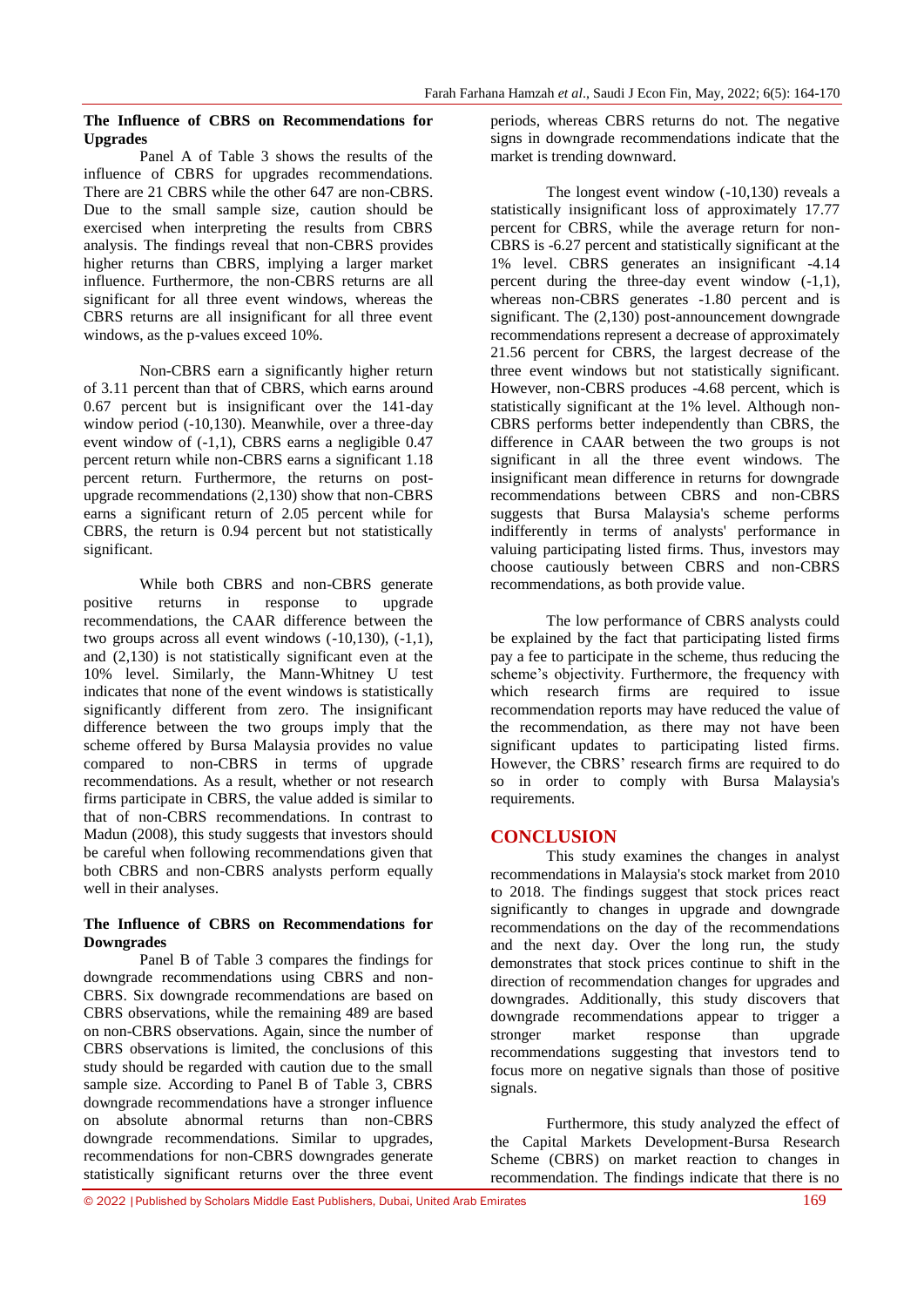### **The Influence of CBRS on Recommendations for Upgrades**

Panel A of Table 3 shows the results of the influence of CBRS for upgrades recommendations. There are 21 CBRS while the other 647 are non-CBRS. Due to the small sample size, caution should be exercised when interpreting the results from CBRS analysis. The findings reveal that non-CBRS provides higher returns than CBRS, implying a larger market influence. Furthermore, the non-CBRS returns are all significant for all three event windows, whereas the CBRS returns are all insignificant for all three event windows, as the p-values exceed 10%.

Non-CBRS earn a significantly higher return of 3.11 percent than that of CBRS, which earns around 0.67 percent but is insignificant over the 141-day window period (-10,130). Meanwhile, over a three-day event window of (-1,1), CBRS earns a negligible 0.47 percent return while non-CBRS earns a significant 1.18 percent return. Furthermore, the returns on postupgrade recommendations (2,130) show that non-CBRS earns a significant return of 2.05 percent while for CBRS, the return is 0.94 percent but not statistically significant.

While both CBRS and non-CBRS generate positive returns in response to upgrade recommendations, the CAAR difference between the two groups across all event windows (-10,130), (-1,1), and (2,130) is not statistically significant even at the 10% level. Similarly, the Mann-Whitney U test indicates that none of the event windows is statistically significantly different from zero. The insignificant difference between the two groups imply that the scheme offered by Bursa Malaysia provides no value compared to non-CBRS in terms of upgrade recommendations. As a result, whether or not research firms participate in CBRS, the value added is similar to that of non-CBRS recommendations. In contrast to Madun (2008), this study suggests that investors should be careful when following recommendations given that both CBRS and non-CBRS analysts perform equally well in their analyses.

### **The Influence of CBRS on Recommendations for Downgrades**

Panel B of Table 3 compares the findings for downgrade recommendations using CBRS and non-CBRS. Six downgrade recommendations are based on CBRS observations, while the remaining 489 are based on non-CBRS observations. Again, since the number of CBRS observations is limited, the conclusions of this study should be regarded with caution due to the small sample size. According to Panel B of Table 3, CBRS downgrade recommendations have a stronger influence on absolute abnormal returns than non-CBRS downgrade recommendations. Similar to upgrades, recommendations for non-CBRS downgrades generate statistically significant returns over the three event

periods, whereas CBRS returns do not. The negative signs in downgrade recommendations indicate that the market is trending downward.

The longest event window (-10,130) reveals a statistically insignificant loss of approximately 17.77 percent for CBRS, while the average return for non-CBRS is -6.27 percent and statistically significant at the 1% level. CBRS generates an insignificant -4.14 percent during the three-day event window  $(-1,1)$ , whereas non-CBRS generates -1.80 percent and is significant. The (2,130) post-announcement downgrade recommendations represent a decrease of approximately 21.56 percent for CBRS, the largest decrease of the three event windows but not statistically significant. However, non-CBRS produces -4.68 percent, which is statistically significant at the 1% level. Although non-CBRS performs better independently than CBRS, the difference in CAAR between the two groups is not significant in all the three event windows. The insignificant mean difference in returns for downgrade recommendations between CBRS and non-CBRS suggests that Bursa Malaysia's scheme performs indifferently in terms of analysts' performance in valuing participating listed firms. Thus, investors may choose cautiously between CBRS and non-CBRS recommendations, as both provide value.

The low performance of CBRS analysts could be explained by the fact that participating listed firms pay a fee to participate in the scheme, thus reducing the scheme's objectivity. Furthermore, the frequency with which research firms are required to issue recommendation reports may have reduced the value of the recommendation, as there may not have been significant updates to participating listed firms. However, the CBRS' research firms are required to do so in order to comply with Bursa Malaysia's requirements.

# **CONCLUSION**

This study examines the changes in analyst recommendations in Malaysia's stock market from 2010 to 2018. The findings suggest that stock prices react significantly to changes in upgrade and downgrade recommendations on the day of the recommendations and the next day. Over the long run, the study demonstrates that stock prices continue to shift in the direction of recommendation changes for upgrades and downgrades. Additionally, this study discovers that downgrade recommendations appear to trigger a stronger market response than upgrade recommendations suggesting that investors tend to focus more on negative signals than those of positive signals.

Furthermore, this study analyzed the effect of the Capital Markets Development-Bursa Research Scheme (CBRS) on market reaction to changes in recommendation. The findings indicate that there is no